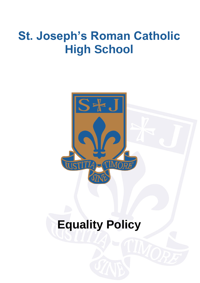# **St. Joseph's Roman Catholic High School**



# **Equality Policy**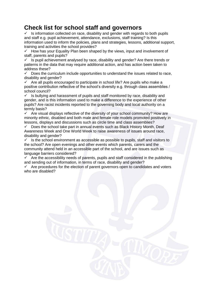# **Check list for school staff and governors**

 $\checkmark$  Is information collected on race, disability and gender with regards to both pupils and staff e.g. pupil achievement, attendance, exclusions, staff training? Is this information used to inform the policies, plans and strategies, lessons, additional support, training and activities the school provides?

 $\checkmark$  How has your Equality Plan been shaped by the views, input and involvement of staff, parents and pupils?

 $\checkmark$  Is pupil achievement analysed by race, disability and gender? Are there trends or patterns in the data that may require additional action, and has action been taken to address these?

 $\checkmark$  Does the curriculum include opportunities to understand the issues related to race, disability and gender?

Are all pupils encouraged to participate in school life? Are pupils who make a positive contribution reflective of the school's diversity e.g. through class assemblies / school council?

 $\checkmark$  Is bullying and harassment of pupils and staff monitored by race, disability and gender, and is this information used to make a difference to the experience of other pupils? Are racist incidents reported to the governing body and local authority on a termly basis?

 $\checkmark$  Are visual displays reflective of the diversity of your school community? How are minority ethnic, disabled and both male and female role models promoted positively in lessons, displays and discussions such as circle time and class assemblies?

 $\checkmark$  Does the school take part in annual events such as Black History Month, Deaf Awareness Week and One World Week to raise awareness of issues around race, disability and gender?

 $\checkmark$  Is the school environment as accessible as possible to pupils, staff and visitors to the school? Are open evenings and other events which parents, carers and the community attend held in an accessible part of the school, and are issues such as language barriers considered?

 $\checkmark$  Are the accessibility needs of parents, pupils and staff considered in the publishing and sending out of information, in terms of race, disability and gender?

 $\checkmark$  Are procedures for the election of parent governors open to candidates and voters who are disabled?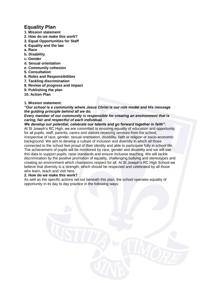# **Equality Plan**

- **1. Mission statement**
- **2. How do we make this work?**
- **3. Equal Opportunities for Staff**
- **4. Equality and the law**
- **a. Race**
- **b. Disability**
- **c. Gender**
- **d. Sexual orientation**
- **e. Community cohesion**
- **5. Consultation**
- **6. Roles and Responsibilities**
- **7. Tackling discrimination**
- **8. Review of progress and impact**
- **9. Publishing the plan**
- **10. Action Plan**

# **1. Mission statement:**

*"Our school is a community where Jesus Christ is our role model and His message the guiding principle behind all we do.* 

# *Every member of our community is responsible for creating an environment that is caring, fair and respectful of each individual.*

*We develop our potential, celebrate our talents and go forward together in faith".*  At St Joseph's RC High, we are committed to ensuring equality of education and opportunity for all pupils, staff, parents, carers and visitors receiving services from the school, irrespective of race, gender, sexual orientation, disability, faith or religion or socio-economic background. We aim to develop a culture of inclusion and diversity in which all those connected to the school feel proud of their identity and able to participate fully in school life. The achievement of pupils will be monitored by race, gender and disability and we will use this data to support pupils, raise standards and ensure inclusive teaching. We will tackle discrimination by the positive promotion of equality, challenging bullying and stereotypes and creating an environment which champions respect for all. At St Joseph's RC High School we believe that diversity is a strength, which should be respected and celebrated by all those who learn, teach and visit here.

# **2. How do we make this work?**

As well as the specific actions set out beneath this plan, the school operates equality of opportunity in its day to day practice in the following ways: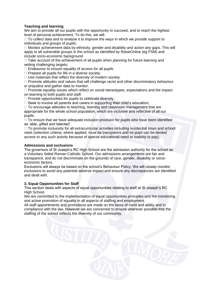# **Teaching and learning**

We aim to provide all our pupils with the opportunity to succeed, and to reach the highest level of personal achievement. To do this, we will:

 $\Box$  To collect data and to analyse it to improve the ways in which we provide support to individuals and groups of pupils;

 $\Box$  Monitor achievement data by ethnicity, gender and disability and action any gaps. This will apply to all vulnerable groups in the school as identified by RaiseOnline (eg FSM) and include socio-economic background

 $\Box$  Take account of the achievement of all pupils when planning for future learning and setting challenging targets;

 $\Box$  Endeavour to ensure equality of access for all pupils

 $\Box$  Prepare all pupils for life in a diverse society.

 $\Box$  Use materials that reflect the diversity of modern society.

 $\Box$  Promote attitudes and values that will challenge racist and other discriminatory behaviour or prejudice and gather data to monitor.

 $\Box$  Promote equality issues which reflect on social stereotypes, expectations and the impact on learning to both pupils and staff.

 $\Box$  Provide opportunities for pupils to celebrate diversity.

 $\Box$  Seek to involve all parents and carers in supporting their child's education:

 $\Box$  To encourage attitudes to teaching, learning and classroom management that are appropriate for the whole school population, which are inclusive and reflective of all our pupils.

 $\Box$  To ensure that we have adequate inclusion provision for pupils who have been identified as 'able, gifted and talented'.

 $\Box$  To promote inclusivity for all extracurricular activities including residential stays and school visits (selection criteria, where applied, must be transparent and no pupil can be denied access to any such activity because of special educational need or inability to pay).

# **Admissions and exclusions**

The governors of St Joseph's RC High School are the admission authority for the school as a Voluntary Aided Roman Catholic School. Our admissions arrangements are fair and transparent, and do not discriminate on the grounds of race, gender, disability or socioeconomic factors.

Exclusions will always be based on the school's Behaviour Policy. We will closely monitor exclusions to avoid any potential adverse impact and ensure any discrepancies are identified and dealt with.

# **3. Equal Opportunities for Staff**

This section deals with aspects of equal opportunities relating to staff at St Joseph's RC High School.

We are committed to the implementation of equal opportunities principles and the monitoring and active promotion of equality in all aspects of staffing and employment.

All staff appointments and promotions are made on the basis of merit and ability and in compliance with the law. However we are concerned to ensure wherever possible that the staffing of the school reflects the diversity of our community.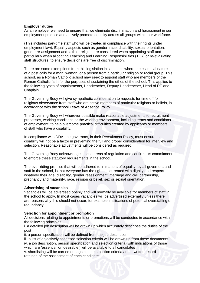#### **Employer duties**

As an employer we need to ensure that we eliminate discrimination and harassment in our employment practice and actively promote equality across all groups within our workforce.

(This includes part-time staff who will be treated in compliance with their rights under employment law). Equality aspects such as gender, race, disability, sexual orientation, gender re-assignment and faith or religion are considered when appointing staff and particularly when allocating Teaching and Learning Responsibilities (TLR) or re-evaluating staff structures, to ensure decisions are free of discrimination.

There are some exemptions from this legislation in situations where the essential nature of a post calls for a man, woman, or a person from a particular religion or racial group. This school, as a Roman Catholic school may seek to appoint staff who are members of the Roman Catholic faith for the purposes of sustaining the ethos of the school. This applies to the following types of appointments, Headteacher, Deputy Headteacher, Head of RE and Chaplain.

The Governing Body will give sympathetic consideration to requests for time off for religious observance from staff who are active members of particular religions or beliefs, in accordance with the school Leave of Absence Policy.

The Governing Body will wherever possible make reasonable adjustments to recruitment processes, working conditions or the working environment, including terms and conditions of employment, to help overcome practical difficulties created by applicants or members of staff who have a disability.

In compliance with DDA, the governors, in their Recruitment Policy, must ensure that disability will not be a factor in preventing the full and proper consideration for interview and selection. Reasonable adjustments will be considered as required.

The Governing Body acknowledges these areas of regulation and confirms its commitment to enforce these statutory requirements in the school.

The over-riding premise that will be adhered to in matters of equality, by all governors and staff in the school, is that everyone has the right to be treated with dignity and respect whatever their age, disability, gender reassignment, marriage and civil partnership, pregnancy and maternity, race, religion or belief, sex or sexual orientation.

#### **Advertising of vacancies**

Vacancies will be advertised openly and will normally be available for members of staff in the school to apply. In most cases vacancies will be advertised externally unless there are reasons why this should not occur, for example in situations of potential overstaffing or redundancy.

#### **Selection for appointment or promotion**

All decisions relating to appointments or promotions will be conducted in accordance with the following principles:

i. a detailed job description will be drawn up which accurately describes the duties of the post

ii. a person specification will be defined from the job description.

iii. a list of objectively assessed selection criteria will be drawn up from these documents iv. a job description, person specification and selection criteria (with indications of those which are 'essential' or 'desirable') will be available to all candidates

v. shortlisting will be carried out against the selection criteria and a written record retained of the assessment of each candidate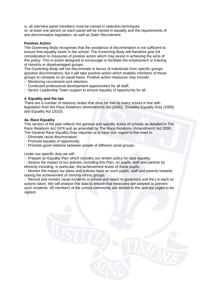vi. all interview panel members must be trained in selection techniques vii. at least one person on each panel will be trained in equality and the requirements of anti-discrimination legislation, as well as Safer Recruitment.

# **Positive Action**

The Governing Body recognises that the avoidance of discrimination is not sufficient to ensure that equality exists in the school. The Governing Body will therefore give full consideration to measures of positive action which may assist in achieving the aims of this policy. This is action designed to encourage or facilitate the employment or training of minority or disadvantaged groups.

The Governing Body will not discriminate in favour of individuals from specific groups (positive discrimination), but it will take positive action which enables members of those groups to compete on an equal basis. Positive action measures may include:

□ Monitoring recruitment and retention;

 $\Box$  Continued professional development opportunities for all staff;

□ Senior Leadership Team support to ensure equality of opportunity for all.

# **4. Equality and the law**

There are a number of statutory duties that must be met by every school in line with legislation from the Race Relations (Amendment) Act (2000), Disability Equality Duty (2005) and Equality Act (2010).

#### **4a. Race Equality**

This section of the plan reflects the general and specific duties of schools as detailed in The Race Relations Act 1976 and as amended by The Race Relations (Amendment) Act 2000. The General Race Equality Duty requires us to have due regard to the need to:

 $\Box$  Eliminate racial discrimination;

 $\Box$  Promote equality of opportunity;

 $\Box$  Promote good relations between people of different racial groups.

Under our specific duty we will:

 $\Box$  Prepare an Equality Plan which includes our written policy for race equality;

 $\Box$  Assess the impact of our policies, including this Plan, on pupils, staff and parents by ethnicity including, in particular, the achievement levels of these pupils;

□ Monitor the impact our plans and policies have on such pupils, staff and parents towards raising the achievement of minority ethnic groups.

 $\Box$  Record and monitor racial incidents in school and report to governors and the LA each on actions taken. We will analyse this data to ensure that measures are adopted to prevent such incidents. All members of the school community are alerted to this and are urged to be vigilant.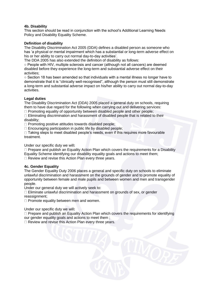# **4b. Disability**

This section should be read in conjunction with the school's Additional Learning Needs Policy and Disability Equality Scheme.

# **Definition of disability**

The Disability Discrimination Act 2005 (DDA) defines a disabled person as someone who has 'a physical or mental impairment which has a substantial or long-term adverse effect on his or her ability to carry out normal day-to-day activities'.

The DDA 2005 has also extended the definition of disability as follows:

○ People with HIV, multiple sclerosis and cancer (although not all cancers) are deemed disabled before they experience the long-term and substantial adverse effect on their activities;

○ Section 18 has been amended so that individuals with a mental illness no longer have to demonstrate that it is "clinically well-recognised", although the person must still demonstrate a long-term and substantial adverse impact on his/her ability to carry out normal day-to-day activities.

# **Legal duties**

The Disability Discrimination Act (DDA) 2005 placed a general duty on schools, requiring them to have due regard for the following when carrying out and delivering services:

 $\Box$  Promoting equality of opportunity between disabled people and other people;

 $\Box$  Eliminating discrimination and harassment of disabled people that is related to their disability;

 $\Box$  Promoting positive attitudes towards disabled people;

Encouraging participation in public life by disabled people;

 $\Box$  Taking steps to meet disabled people's needs, even if this requires more favourable treatment.

Under our specific duty we will**:** 

 $\Box$  Prepare and publish an Equality Action Plan which covers the requirements for a Disability Equality Scheme identifying our disability equality goals and actions to meet them; □ Review and revise this Action Plan every three years.

# **4c. Gender Equality**

The Gender Equality Duty 2006 places a general and specific duty on schools to eliminate unlawful discrimination and harassment on the grounds of gender and to promote equality of opportunity between female and male pupils and between women and men and transgender people.

Under our general duty we will actively seek to:

 $\Box$  Eliminate unlawful discrimination and harassment on grounds of sex, or gender reassignment;

 $\Box$  Promote equality between men and women.

Under our specific duty we will**:** 

 $\Box$  Prepare and publish an Equality Action Plan which covers the requirements for identifying our gender equality goals and actions to meet them ;

□ Review and revise this Action Plan every three years.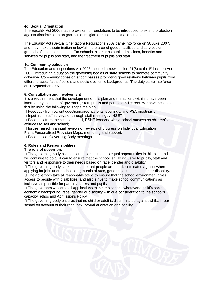# **4d. Sexual Orientation**

The Equality Act 2006 made provision for regulations to be introduced to extend protection against discrimination on grounds of religion or belief to sexual orientation.

The Equality Act (Sexual Orientation) Regulations 2007 came into force on 30 April 2007, and they make discrimination unlawful in the area of goods, facilities and services on grounds of sexual orientation. For schools this means pupil admissions, benefits and services for pupils and staff, and the treatment of pupils and staff.

#### **4e. Community cohesion**

The Education and Inspections Act 2006 inserted a new section 21(5) to the Education Act 2002, introducing a duty on the governing bodies of state schools to promote community cohesion. Community cohesion encompasses promoting good relations between pupils from different races, faiths / beliefs and socio-economic backgrounds. The duty came into force on 1 September 2007.

#### **5. Consultation and involvement**

It is a requirement that the development of this plan and the actions within it have been informed by the input of governors, staff, pupils and parents and carers. We have achieved this by using the following to shape the plan:

 $\Box$  Feedback from parent questionnaires, parents' evenings, and PSA meetings ;

 $\Box$  Input from staff surveys or through staff meetings / INSET;

□ Feedback from the school council, PSHE lessons, whole school surveys on children's attitudes to self and school;

 $\Box$  Issues raised in annual reviews or reviews of progress on Individual Education Plans/Personalised Provision Maps, mentoring and support;

□ Feedback at Governing Body meetings.

# **6. Roles and Responsibilities**

#### **The role of governors**

 $\Box$  The governing body has set out its commitment to equal opportunities in this plan and it will continue to do all it can to ensure that the school is fully inclusive to pupils, staff and visitors and responsive to their needs based on race, gender and disability.

 $\Box$  The governing body seeks to ensure that people are not discriminated against when applying for jobs at our school on grounds of race, gender, sexual orientation or disability.  $\Box$  The governors take all reasonable steps to ensure that the school environment gives access to people with disabilities, and also strive to make school communications as inclusive as possible for parents, carers and pupils.

 $\Box$  The governors welcome all applications to join the school, whatever a child's socioeconomic background, race, gender or disability with due consideration to the school's capacity, ethos and Admissions Policy.

 $\Box$  The governing body ensures that no child or adult is discriminated against whilst in our school on account of their race, sex, sexual orientation or disability.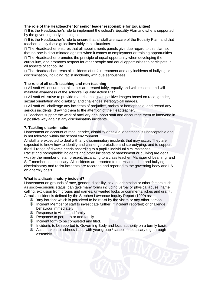# **The role of the Headteacher (or senior leader responsible for Equalities)**

 $\Box$  It is the Headteacher's role to implement the school's Equality Plan and s/he is supported by the governing body in doing so.

 $\Box$  It is the Headteacher's role to ensure that all staff are aware of the Equality Plan, and that teachers apply these guidelines fairly in all situations.

 $\Box$  The Headteacher ensures that all appointments panels give due regard to this plan, so that no-one is discriminated against when it comes to employment or training opportunities.

 $\Box$  The Headteacher promotes the principle of equal opportunity when developing the curriculum, and promotes respect for other people and equal opportunities to participate in all aspects of school life.

 $\Box$  The Headteacher treats all incidents of unfair treatment and any incidents of bullying or discrimination, including racist incidents, with due seriousness.

# **The role of all staff: teaching and non-teaching**

 $\Box$  All staff will ensure that all pupils are treated fairly, equally and with respect, and will maintain awareness of the school's Equality Action Plan.

 $\Box$  All staff will strive to provide material that gives positive images based on race, gender, sexual orientation and disability, and challenges stereotypical images.

□ All staff will challenge any incidents of prejudice, racism or homophobia, and record any serious incidents, drawing them to the attention of the Headteacher.

 $\Box$  Teachers support the work of ancillary or support staff and encourage them to intervene in a positive way against any discriminatory incidents.

# **7. Tackling discrimination**

Harassment on account of race, gender, disability or sexual orientation is unacceptable and is not tolerated within the school environment.

All staff are expected to deal with any discriminatory incidents that may occur. They are expected to know how to identify and challenge prejudice and stereotyping; and to support the full range of diverse needs according to a pupil's individual circumstances.

Racist and homophobic incidents and other incidents of harassment or bullying are dealt with by the member of staff present, escalating to a class teacher, Manager of Learning, and SLT member as necessary. All incidents are reported to the Headteacher and bullying, discriminatory and racist incidents are recorded and reported to the governing body and LA on a termly basis.

# **What is a discriminatory incident?**

Harassment on grounds of race, gender, disability, sexual orientation or other factors such as socio-economic status, can take many forms including verbal or physical abuse, name calling, exclusion from groups and games, unwanted looks or comments, jokes and graffiti. A racist incident is defined by the Stephen Lawrence Inquiry Report (1999) as:

- 'any incident which is perceived to be racist by the victim or any other person'.
- **Incident Member of staff to investigate further (if incident reported) or challenge** behaviour immediately
- Response to victim and family
- Response to perpetrator and family
- Incident form to be completed and filed.
- Incidents to be reported to Governing Body and local authority on a termly basis.
- Action taken to address issue with year group / school if necessary e.g. through assembly